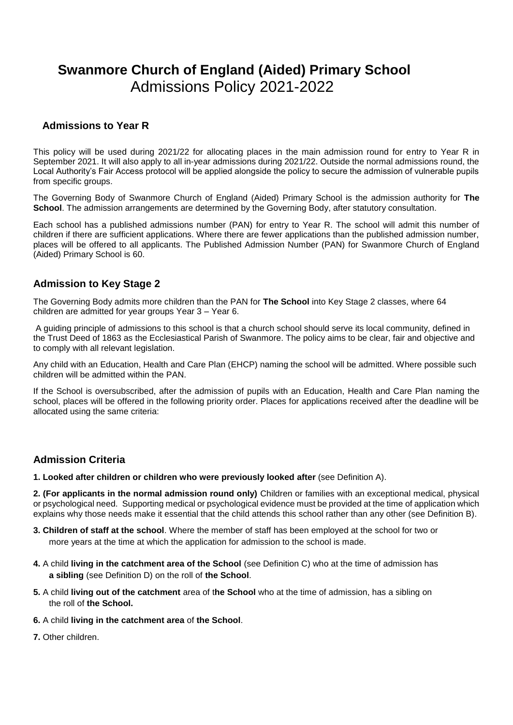# **Swanmore Church of England (Aided) Primary School**  Admissions Policy 2021-2022

## **Admissions to Year R**

This policy will be used during 2021/22 for allocating places in the main admission round for entry to Year R in September 2021. It will also apply to all in-year admissions during 2021/22. Outside the normal admissions round, the Local Authority's Fair Access protocol will be applied alongside the policy to secure the admission of vulnerable pupils from specific groups.

The Governing Body of Swanmore Church of England (Aided) Primary School is the admission authority for **The School**. The admission arrangements are determined by the Governing Body, after statutory consultation.

Each school has a published admissions number (PAN) for entry to Year R. The school will admit this number of children if there are sufficient applications. Where there are fewer applications than the published admission number, places will be offered to all applicants. The Published Admission Number (PAN) for Swanmore Church of England (Aided) Primary School is 60.

## **Admission to Key Stage 2**

The Governing Body admits more children than the PAN for **The School** into Key Stage 2 classes, where 64 children are admitted for year groups Year 3 – Year 6.

A guiding principle of admissions to this school is that a church school should serve its local community, defined in the Trust Deed of 1863 as the Ecclesiastical Parish of Swanmore. The policy aims to be clear, fair and objective and to comply with all relevant legislation.

Any child with an Education, Health and Care Plan (EHCP) naming the school will be admitted. Where possible such children will be admitted within the PAN.

If the School is oversubscribed, after the admission of pupils with an Education, Health and Care Plan naming the school, places will be offered in the following priority order. Places for applications received after the deadline will be allocated using the same criteria:

## **Admission Criteria**

**1. Looked after children or children who were previously looked after** (see Definition A).

**2. (For applicants in the normal admission round only)** Children or families with an exceptional medical, physical or psychological need. Supporting medical or psychological evidence must be provided at the time of application which explains why those needs make it essential that the child attends this school rather than any other (see Definition B).

- **3. Children of staff at the school**. Where the member of staff has been employed at the school for two or more years at the time at which the application for admission to the school is made.
- **4.** A child **living in the catchment area of the School** (see Definition C) who at the time of admission has **a sibling** (see Definition D) on the roll of **the School**.
- **5.** A child **living out of the catchment** area of t**he School** who at the time of admission, has a sibling on the roll of **the School.**
- **6.** A child **living in the catchment area** of **the School**.
- **7.** Other children.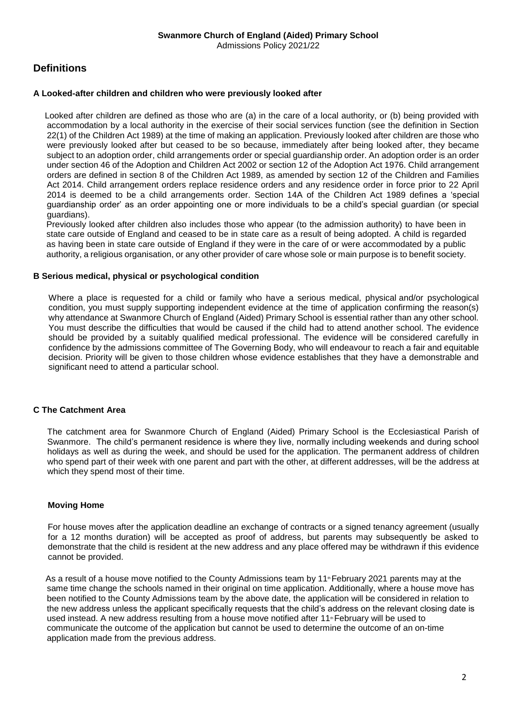## **Definitions**

#### **A Looked-after children and children who were previously looked after**

Looked after children are defined as those who are (a) in the care of a local authority, or (b) being provided with accommodation by a local authority in the exercise of their social services function (see the definition in Section 22(1) of the Children Act 1989) at the time of making an application. Previously looked after children are those who were previously looked after but ceased to be so because, immediately after being looked after, they became subject to an adoption order, child arrangements order or special guardianship order. An adoption order is an order under section 46 of the Adoption and Children Act 2002 or section 12 of the Adoption Act 1976. Child arrangement orders are defined in section 8 of the Children Act 1989, as amended by section 12 of the Children and Families Act 2014. Child arrangement orders replace residence orders and any residence order in force prior to 22 April 2014 is deemed to be a child arrangements order. Section 14A of the Children Act 1989 defines a 'special guardianship order' as an order appointing one or more individuals to be a child's special guardian (or special guardians).

Previously looked after children also includes those who appear (to the admission authority) to have been in state care outside of England and ceased to be in state care as a result of being adopted. A child is regarded as having been in state care outside of England if they were in the care of or were accommodated by a public authority, a religious organisation, or any other provider of care whose sole or main purpose is to benefit society.

#### **B Serious medical, physical or psychological condition**

Where a place is requested for a child or family who have a serious medical, physical and/or psychological condition, you must supply supporting independent evidence at the time of application confirming the reason(s) why attendance at Swanmore Church of England (Aided) Primary School is essential rather than any other school. You must describe the difficulties that would be caused if the child had to attend another school. The evidence should be provided by a suitably qualified medical professional. The evidence will be considered carefully in confidence by the admissions committee of The Governing Body, who will endeavour to reach a fair and equitable decision. Priority will be given to those children whose evidence establishes that they have a demonstrable and significant need to attend a particular school.

#### **C The Catchment Area**

The catchment area for Swanmore Church of England (Aided) Primary School is the Ecclesiastical Parish of Swanmore. The child's permanent residence is where they live, normally including weekends and during school holidays as well as during the week, and should be used for the application. The permanent address of children who spend part of their week with one parent and part with the other, at different addresses, will be the address at which they spend most of their time.

#### **Moving Home**

For house moves after the application deadline an exchange of contracts or a signed tenancy agreement (usually for a 12 months duration) will be accepted as proof of address, but parents may subsequently be asked to demonstrate that the child is resident at the new address and any place offered may be withdrawn if this evidence cannot be provided.

As a result of a house move notified to the County Admissions team by 11<sup>®</sup> February 2021 parents may at the same time change the schools named in their original on time application. Additionally, where a house move has been notified to the County Admissions team by the above date, the application will be considered in relation to the new address unless the applicant specifically requests that the child's address on the relevant closing date is used instead. A new address resulting from a house move notified after 11<sup>th</sup> February will be used to communicate the outcome of the application but cannot be used to determine the outcome of an on-time application made from the previous address.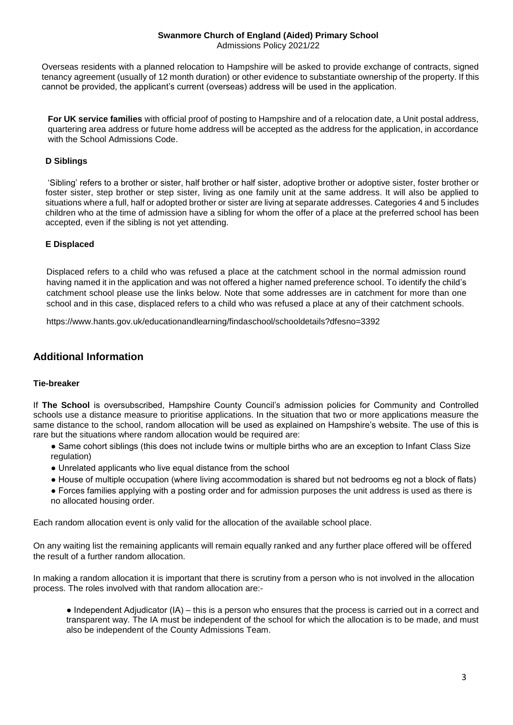## **Swanmore Church of England (Aided) Primary School**

Admissions Policy 2021/22

Overseas residents with a planned relocation to Hampshire will be asked to provide exchange of contracts, signed tenancy agreement (usually of 12 month duration) or other evidence to substantiate ownership of the property. If this cannot be provided, the applicant's current (overseas) address will be used in the application.

**For UK service families** with official proof of posting to Hampshire and of a relocation date, a Unit postal address, quartering area address or future home address will be accepted as the address for the application, in accordance with the School Admissions Code.

## **D Siblings**

'Sibling' refers to a brother or sister, half brother or half sister, adoptive brother or adoptive sister, foster brother or foster sister, step brother or step sister, living as one family unit at the same address. It will also be applied to situations where a full, half or adopted brother or sister are living at separate addresses. Categories 4 and 5 includes children who at the time of admission have a sibling for whom the offer of a place at the preferred school has been accepted, even if the sibling is not yet attending.

## **E Displaced**

Displaced refers to a child who was refused a place at the catchment school in the normal admission round having named it in the application and was not offered a higher named preference school. To identify the child's catchment school please use the links below. Note that some addresses are in catchment for more than one school and in this case, displaced refers to a child who was refused a place at any of their catchment schools.

https://www.hants.gov.uk/educationandlearning/findaschool/schooldetails?dfesno=3392

## **Additional Information**

#### **Tie-breaker**

If **The School** is oversubscribed, Hampshire County Council's admission policies for Community and Controlled schools use a distance measure to prioritise applications. In the situation that two or more applications measure the same distance to the school, random allocation will be used as explained on Hampshire's website. The use of this is rare but the situations where random allocation would be required are:

- Same cohort siblings (this does not include twins or multiple births who are an exception to Infant Class Size regulation)
- Unrelated applicants who live equal distance from the school
- House of multiple occupation (where living accommodation is shared but not bedrooms eg not a block of flats)
- Forces families applying with a posting order and for admission purposes the unit address is used as there is no allocated housing order.

Each random allocation event is only valid for the allocation of the available school place.

On any waiting list the remaining applicants will remain equally ranked and any further place offered will be offered the result of a further random allocation.

In making a random allocation it is important that there is scrutiny from a person who is not involved in the allocation process. The roles involved with that random allocation are:-

• Independent Adjudicator (IA) – this is a person who ensures that the process is carried out in a correct and transparent way. The IA must be independent of the school for which the allocation is to be made, and must also be independent of the County Admissions Team.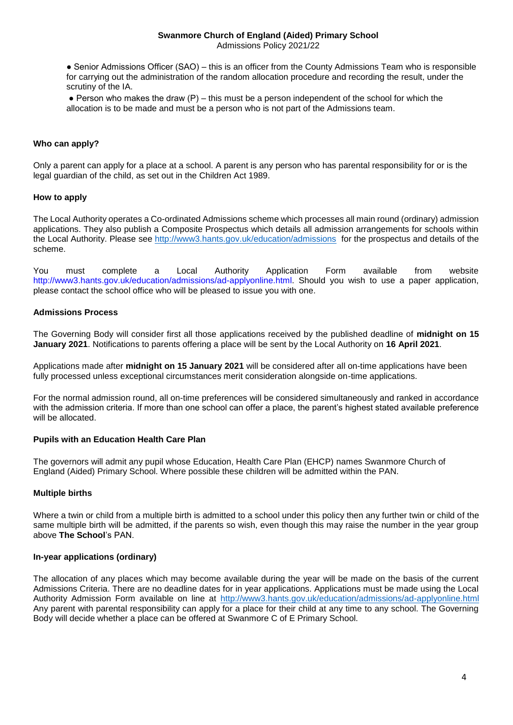## **Swanmore Church of England (Aided) Primary School**

Admissions Policy 2021/22

• Senior Admissions Officer (SAO) – this is an officer from the County Admissions Team who is responsible for carrying out the administration of the random allocation procedure and recording the result, under the scrutiny of the IA.

 $\bullet$  Person who makes the draw (P) – this must be a person independent of the school for which the allocation is to be made and must be a person who is not part of the Admissions team.

#### **Who can apply?**

Only a parent can apply for a place at a school. A parent is any person who has parental responsibility for or is the legal guardian of the child, as set out in the Children Act 1989.

#### **How to apply**

The Local Authority operates a Co-ordinated Admissions scheme which processes all main round (ordinary) admission applications. They also publish a Composite Prospectus which details all admission arrangements for schools within the Local Authority. Please see<http://www3.hants.gov.uk/education/admissions> for the prospectus and details of the scheme.

You must complete a Local Authority Application Form available from website http://www3.hants.gov.uk/education/admissions/ad-applyonline.html. Should you wish to use a paper application, please contact the school office who will be pleased to issue you with one.

#### **Admissions Process**

The Governing Body will consider first all those applications received by the published deadline of **midnight on 15 January 2021**. Notifications to parents offering a place will be sent by the Local Authority on **16 April 2021**.

Applications made after **midnight on 15 January 2021** will be considered after all on-time applications have been fully processed unless exceptional circumstances merit consideration alongside on-time applications.

For the normal admission round, all on-time preferences will be considered simultaneously and ranked in accordance with the admission criteria. If more than one school can offer a place, the parent's highest stated available preference will be allocated.

#### **Pupils with an Education Health Care Plan**

The governors will admit any pupil whose Education, Health Care Plan (EHCP) names Swanmore Church of England (Aided) Primary School. Where possible these children will be admitted within the PAN.

#### **Multiple births**

Where a twin or child from a multiple birth is admitted to a school under this policy then any further twin or child of the same multiple birth will be admitted, if the parents so wish, even though this may raise the number in the year group above **The School**'s PAN.

#### **In-year applications (ordinary)**

The allocation of any places which may become available during the year will be made on the basis of the current Admissions Criteria. There are no deadline dates for in year applications. Applications must be made using the Local Authority Admission Form available on line at <http://www3.hants.gov.uk/education/admissions/ad-applyonline.html> Any parent with parental responsibility can apply for a place for their child at any time to any school. The Governing Body will decide whether a place can be offered at Swanmore C of E Primary School.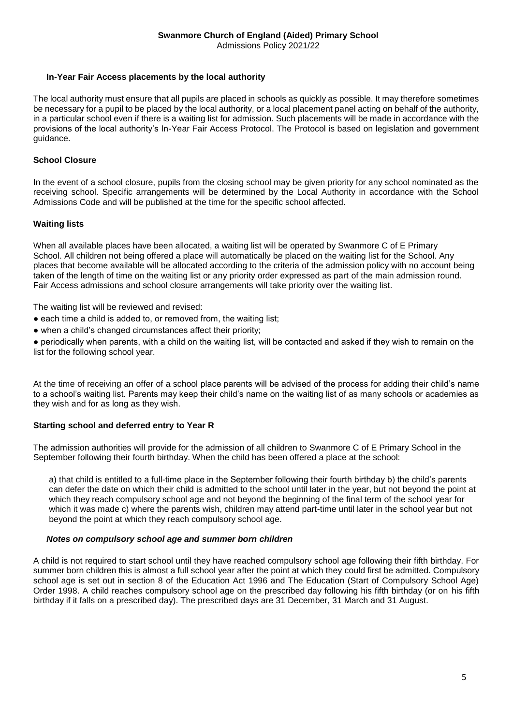#### **In-Year Fair Access placements by the local authority**

The local authority must ensure that all pupils are placed in schools as quickly as possible. It may therefore sometimes be necessary for a pupil to be placed by the local authority, or a local placement panel acting on behalf of the authority, in a particular school even if there is a waiting list for admission. Such placements will be made in accordance with the provisions of the local authority's In-Year Fair Access Protocol. The Protocol is based on legislation and government quidance.

#### **School Closure**

In the event of a school closure, pupils from the closing school may be given priority for any school nominated as the receiving school. Specific arrangements will be determined by the Local Authority in accordance with the School Admissions Code and will be published at the time for the specific school affected.

#### **Waiting lists**

When all available places have been allocated, a waiting list will be operated by Swanmore C of E Primary School. All children not being offered a place will automatically be placed on the waiting list for the School. Any places that become available will be allocated according to the criteria of the admission policy with no account being taken of the length of time on the waiting list or any priority order expressed as part of the main admission round. Fair Access admissions and school closure arrangements will take priority over the waiting list.

The waiting list will be reviewed and revised:

- each time a child is added to, or removed from, the waiting list;
- when a child's changed circumstances affect their priority:

● periodically when parents, with a child on the waiting list, will be contacted and asked if they wish to remain on the list for the following school year.

At the time of receiving an offer of a school place parents will be advised of the process for adding their child's name to a school's waiting list. Parents may keep their child's name on the waiting list of as many schools or academies as they wish and for as long as they wish.

#### **Starting school and deferred entry to Year R**

The admission authorities will provide for the admission of all children to Swanmore C of E Primary School in the September following their fourth birthday. When the child has been offered a place at the school:

a) that child is entitled to a full-time place in the September following their fourth birthday b) the child's parents can defer the date on which their child is admitted to the school until later in the year, but not beyond the point at which they reach compulsory school age and not beyond the beginning of the final term of the school year for which it was made c) where the parents wish, children may attend part-time until later in the school year but not beyond the point at which they reach compulsory school age.

#### *Notes on compulsory school age and summer born children*

A child is not required to start school until they have reached compulsory school age following their fifth birthday. For summer born children this is almost a full school year after the point at which they could first be admitted. Compulsory school age is set out in section 8 of the Education Act 1996 and The Education (Start of Compulsory School Age) Order 1998. A child reaches compulsory school age on the prescribed day following his fifth birthday (or on his fifth birthday if it falls on a prescribed day). The prescribed days are 31 December, 31 March and 31 August.